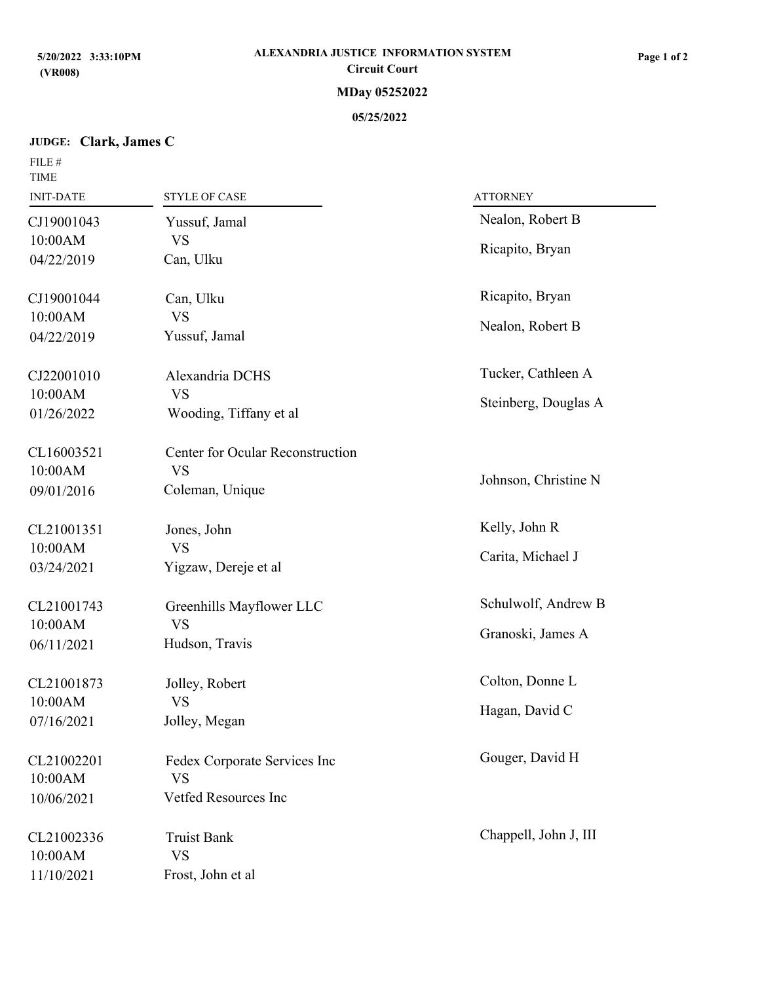# **JUDGE: Clark, James C**

| FILE #<br><b>TIME</b> |                                  |                       |  |
|-----------------------|----------------------------------|-----------------------|--|
| <b>INIT-DATE</b>      | <b>STYLE OF CASE</b>             | <b>ATTORNEY</b>       |  |
| CJ19001043            | Yussuf, Jamal                    | Nealon, Robert B      |  |
| 10:00AM               | <b>VS</b>                        | Ricapito, Bryan       |  |
| 04/22/2019            | Can, Ulku                        |                       |  |
| CJ19001044            | Can, Ulku                        | Ricapito, Bryan       |  |
| 10:00AM               | <b>VS</b>                        | Nealon, Robert B      |  |
| 04/22/2019            | Yussuf, Jamal                    |                       |  |
| CJ22001010            | Alexandria DCHS                  | Tucker, Cathleen A    |  |
| 10:00AM               | <b>VS</b>                        | Steinberg, Douglas A  |  |
| 01/26/2022            | Wooding, Tiffany et al           |                       |  |
| CL16003521            | Center for Ocular Reconstruction |                       |  |
| 10:00AM               | <b>VS</b>                        | Johnson, Christine N  |  |
| 09/01/2016            | Coleman, Unique                  |                       |  |
| CL21001351            | Jones, John                      | Kelly, John R         |  |
| 10:00AM               | <b>VS</b>                        | Carita, Michael J     |  |
| 03/24/2021            | Yigzaw, Dereje et al             |                       |  |
| CL21001743            | Greenhills Mayflower LLC         | Schulwolf, Andrew B   |  |
| 10:00AM               | <b>VS</b>                        | Granoski, James A     |  |
| 06/11/2021            | Hudson, Travis                   |                       |  |
| CL21001873            | Jolley, Robert                   | Colton, Donne L       |  |
| 10:00AM               | <b>VS</b>                        | Hagan, David C        |  |
| 07/16/2021            | Jolley, Megan                    |                       |  |
| CL21002201            | Fedex Corporate Services Inc     | Gouger, David H       |  |
| 10:00AM               | <b>VS</b>                        |                       |  |
| 10/06/2021            | Vetfed Resources Inc             |                       |  |
| CL21002336            | <b>Truist Bank</b>               | Chappell, John J, III |  |
| 10:00AM               | <b>VS</b>                        |                       |  |
| 11/10/2021            | Frost, John et al                |                       |  |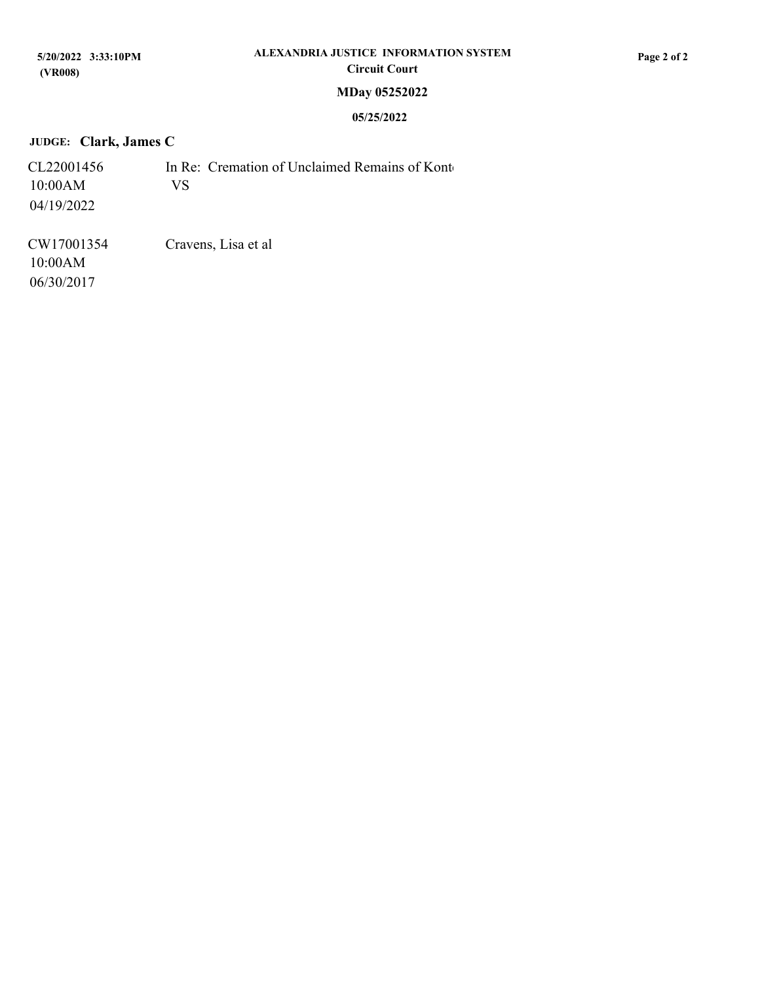## **JUDGE: Clark, James C**

| CL22001456 | In Re: Cremation of Unclaimed Remains of Kont |  |
|------------|-----------------------------------------------|--|
| 10:00AM    | VS.                                           |  |
| 04/19/2022 |                                               |  |

CW17001354 06/30/2017 Cravens, Lisa et al 10:00AM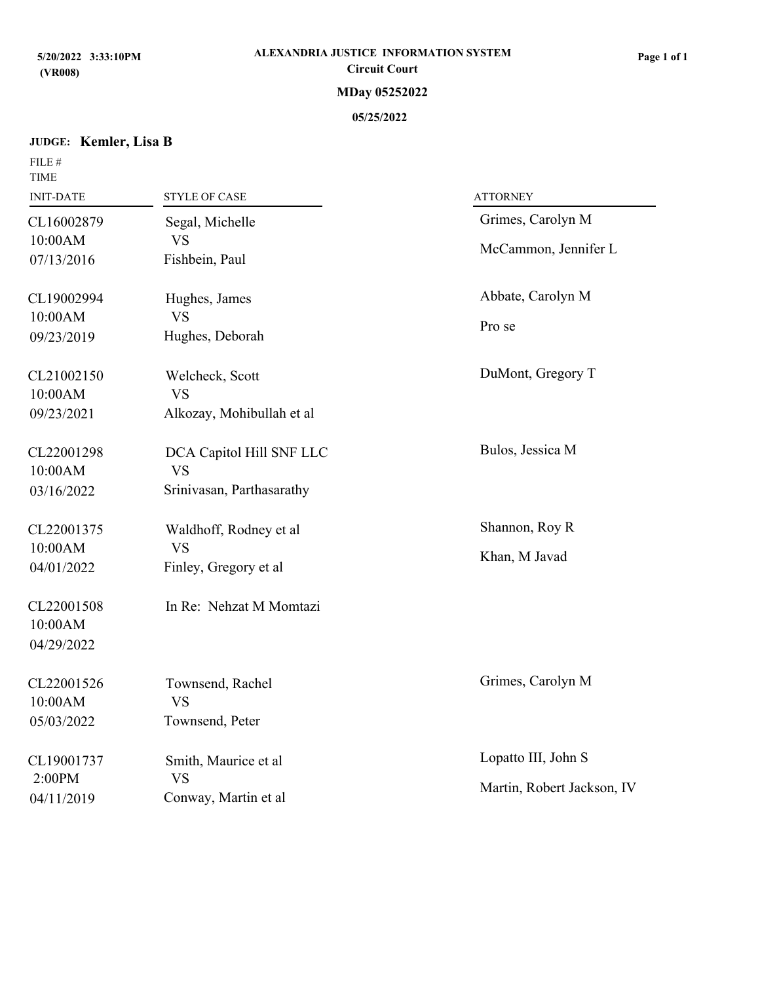## **JUDGE: Kemler, Lisa B**

FILE  $\#$ 

| <b>TIME</b><br><b>INIT-DATE</b>     | <b>STYLE OF CASE</b>                  | <b>ATTORNEY</b>                                   |
|-------------------------------------|---------------------------------------|---------------------------------------------------|
| CL16002879                          | Segal, Michelle                       | Grimes, Carolyn M                                 |
| 10:00AM<br>07/13/2016               | <b>VS</b><br>Fishbein, Paul           | McCammon, Jennifer L                              |
| CL19002994<br>10:00AM               | Hughes, James<br><b>VS</b>            | Abbate, Carolyn M<br>Pro se                       |
| 09/23/2019                          | Hughes, Deborah                       |                                                   |
| CL21002150<br>10:00AM               | Welcheck, Scott<br><b>VS</b>          | DuMont, Gregory T                                 |
| 09/23/2021                          | Alkozay, Mohibullah et al             |                                                   |
| CL22001298<br>10:00AM               | DCA Capitol Hill SNF LLC<br><b>VS</b> | Bulos, Jessica M                                  |
| 03/16/2022                          | Srinivasan, Parthasarathy             |                                                   |
| CL22001375<br>10:00AM               | Waldhoff, Rodney et al<br><b>VS</b>   | Shannon, Roy R<br>Khan, M Javad                   |
| 04/01/2022                          | Finley, Gregory et al                 |                                                   |
| CL22001508<br>10:00AM<br>04/29/2022 | In Re: Nehzat M Momtazi               |                                                   |
| CL22001526<br>10:00AM               | Townsend, Rachel<br><b>VS</b>         | Grimes, Carolyn M                                 |
| 05/03/2022                          | Townsend, Peter                       |                                                   |
| CL19001737<br>2:00PM                | Smith, Maurice et al<br><b>VS</b>     | Lopatto III, John S<br>Martin, Robert Jackson, IV |
| 04/11/2019                          | Conway, Martin et al                  |                                                   |